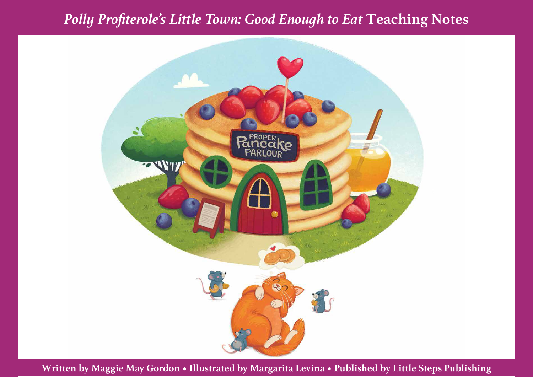# *Polly Profiterole's Little Town: Good Enough to Eat* **Teaching Notes**



**Written by Maggie May Gordon • Illustrated by Margarita Levina • Published by Little Steps Publishing**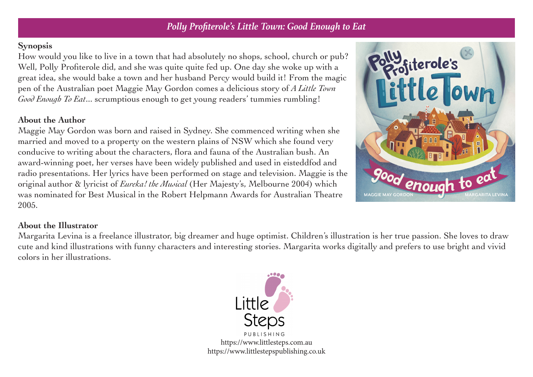### *Polly Profiterole's Little Town: Good Enough to Eat*

#### **Synopsis**

How would you like to live in a town that had absolutely no shops, school, church or pub? Well, Polly Profiterole did, and she was quite quite fed up. One day she woke up with a great idea, she would bake a town and her husband Percy would build it! From the magic pen of the Australian poet Maggie May Gordon comes a delicious story of *A Little Town Good Enough To Eat*... scrumptious enough to get young readers' tummies rumbling!

#### **About the Author**

Maggie May Gordon was born and raised in Sydney. She commenced writing when she married and moved to a property on the western plains of NSW which she found very conducive to writing about the characters, flora and fauna of the Australian bush. An award-winning poet, her verses have been widely published and used in eisteddfod and radio presentations. Her lyrics have been performed on stage and television. Maggie is the original author & lyricist of *Eureka! the Musical* (Her Majesty's, Melbourne 2004) which was nominated for Best Musical in the Robert Helpmann Awards for Australian Theatre 2005.



#### **About the Illustrator**

Margarita Levina is a freelance illustrator, big dreamer and huge optimist. Children's illustration is her true passion. She loves to draw cute and kind illustrations with funny characters and interesting stories. Margarita works digitally and prefers to use bright and vivid colors in her illustrations.

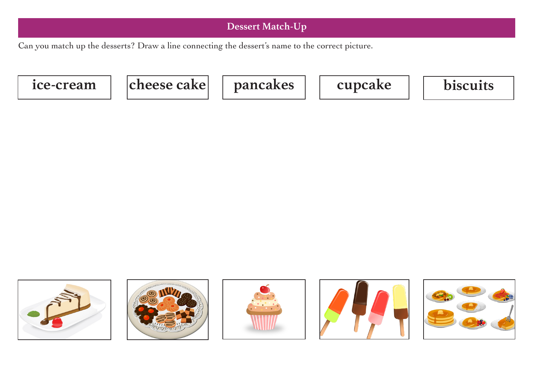## **Dessert Match-Up**

Can you match up the desserts? Draw a line connecting the dessert's name to the correct picture.











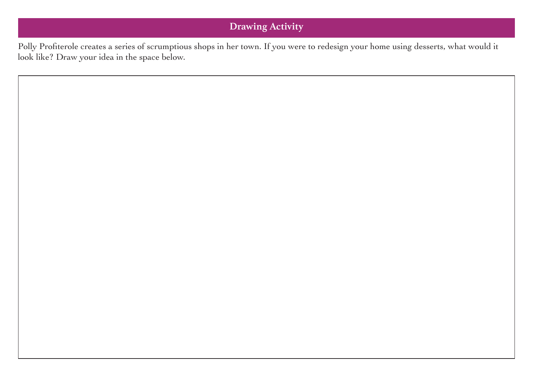# **Drawing Activity**

Polly Profiterole creates a series of scrumptious shops in her town. If you were to redesign your home using desserts, what would it look like? Draw your idea in the space below.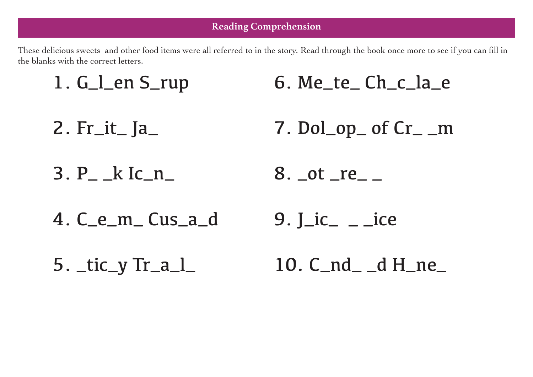These delicious sweets and other food items were all referred to in the story. Read through the book once more to see if you can fill in the blanks with the correct letters.

- 1. G\_l\_en S\_rup 6. Me\_te\_ Ch\_c\_la\_e
- 2. Fr\_it\_ Ja\_ 7. Dol\_op\_ of Cr\_ \_m
- 3. P\_ \_k Ic\_n\_ 8. \_ot \_re\_ \_
- 4. C\_e\_m\_ Cus\_a\_d  $9.$   $\rm{Li}$ <sub> $-$ </sub> $\rm{L}$   $\rm{ice}$
- 5. \_tic\_y Tr\_a\_l\_ 10. C\_nd\_ \_d H\_ne\_